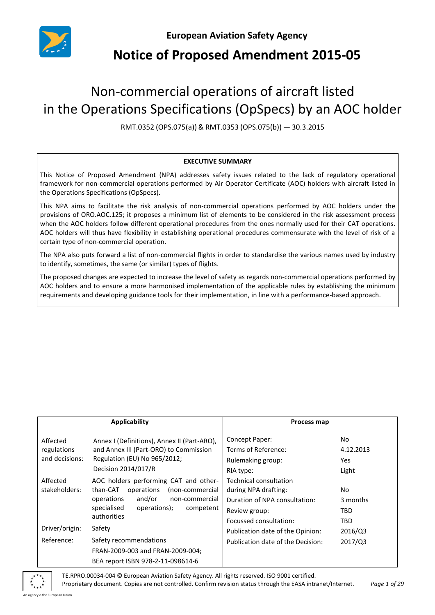

# Non-commercial operations of aircraft listed in the Operations Specifications (OpSpecs) by an AOC holder

RMT.0352 (OPS.075(a)) & RMT.0353 (OPS.075(b)) — 30.3.2015

### **EXECUTIVE SUMMARY**

This Notice of Proposed Amendment (NPA) addresses safety issues related to the lack of regulatory operational framework for non-commercial operations performed by Air Operator Certificate (AOC) holders with aircraft listed in the Operations Specifications (OpSpecs).

This NPA aims to facilitate the risk analysis of non-commercial operations performed by AOC holders under the provisions of ORO.AOC.125; it proposes a minimum list of elements to be considered in the risk assessment process when the AOC holders follow different operational procedures from the ones normally used for their CAT operations. AOC holders will thus have flexibility in establishing operational procedures commensurate with the level of risk of a certain type of non-commercial operation.

The NPA also puts forward a list of non-commercial flights in order to standardise the various names used by industry to identify, sometimes, the same (or similar) types of flights.

The proposed changes are expected to increase the level of safety as regards non-commercial operations performed by AOC holders and to ensure a more harmonised implementation of the applicable rules by establishing the minimum requirements and developing guidance tools for their implementation, in line with a performance-based approach.

| <b>Applicability</b>                      |                                                                                                                                                                                         | Process map                                                                                                                       |                                  |
|-------------------------------------------|-----------------------------------------------------------------------------------------------------------------------------------------------------------------------------------------|-----------------------------------------------------------------------------------------------------------------------------------|----------------------------------|
| Affected<br>regulations<br>and decisions: | Annex I (Definitions), Annex II (Part-ARO),<br>and Annex III (Part-ORO) to Commission<br>Regulation (EU) No 965/2012;<br>Decision 2014/017/R                                            | Concept Paper:<br>Terms of Reference:<br>Rulemaking group:<br>RIA type:                                                           | No<br>4.12.2013<br>Yes.<br>Light |
| Affected<br>stakeholders:                 | AOC holders performing CAT and other-<br>than-CAT<br>operations<br>(non-commercial<br>and/or<br>operations<br>non-commercial<br>specialised<br>competent<br>operations);<br>authorities | <b>Technical consultation</b><br>during NPA drafting:<br>Duration of NPA consultation:<br>Review group:<br>Focussed consultation: | No.<br>3 months<br>TBD<br>TBD.   |
| Driver/origin:                            | Safety                                                                                                                                                                                  | Publication date of the Opinion:                                                                                                  | 2016/Q3                          |
| Reference:                                | Safety recommendations<br>FRAN-2009-003 and FRAN-2009-004;<br>BEA report ISBN 978-2-11-098614-6                                                                                         | Publication date of the Decision:                                                                                                 | 2017/Q3                          |

TE.RPRO.00034-004 © European Aviation Safety Agency. All rights reserved. ISO 9001 certified. Proprietary document. Copies are not controlled. Confirm revision status through the EASA intranet/Internet. *Page 1 of 29*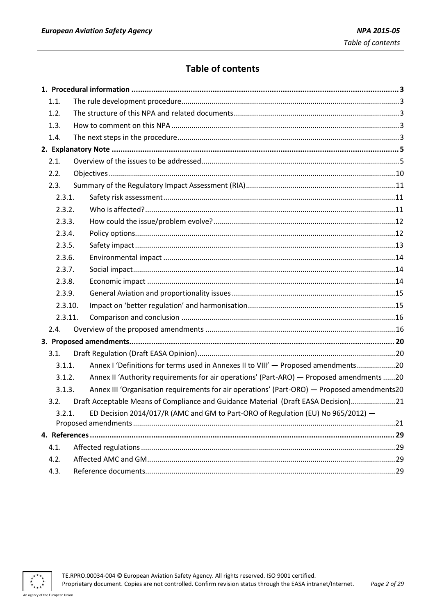# **Table of contents**

| 1.1.    |                                                                                             |     |
|---------|---------------------------------------------------------------------------------------------|-----|
| 1.2.    |                                                                                             |     |
| 1.3.    |                                                                                             |     |
| 1.4.    |                                                                                             |     |
|         |                                                                                             |     |
| 2.1.    |                                                                                             |     |
| 2.2.    |                                                                                             |     |
| 2.3.    |                                                                                             |     |
| 2.3.1.  |                                                                                             |     |
| 2.3.2.  |                                                                                             |     |
| 2.3.3.  |                                                                                             |     |
| 2.3.4.  |                                                                                             |     |
| 2.3.5.  |                                                                                             |     |
| 2.3.6.  |                                                                                             |     |
| 2.3.7.  |                                                                                             |     |
| 2.3.8.  |                                                                                             |     |
| 2.3.9.  |                                                                                             |     |
| 2.3.10. |                                                                                             |     |
| 2.3.11. |                                                                                             |     |
| 2.4.    |                                                                                             |     |
|         |                                                                                             |     |
| 3.1.    |                                                                                             |     |
| 3.1.1.  | Annex I 'Definitions for terms used in Annexes II to VIII' - Proposed amendments20          |     |
| 3.1.2.  | Annex II 'Authority requirements for air operations' (Part-ARO) - Proposed amendments 20    |     |
| 3.1.3.  | Annex III 'Organisation requirements for air operations' (Part-ORO) - Proposed amendments20 |     |
| 3.2.    | Draft Acceptable Means of Compliance and Guidance Material (Draft EASA Decision)21          |     |
| 3.2.1.  | ED Decision 2014/017/R (AMC and GM to Part-ORO of Regulation (EU) No 965/2012) -            |     |
|         |                                                                                             |     |
|         |                                                                                             |     |
| 4.1.    |                                                                                             |     |
| 4.2.    |                                                                                             |     |
| 4.3.    |                                                                                             | .29 |

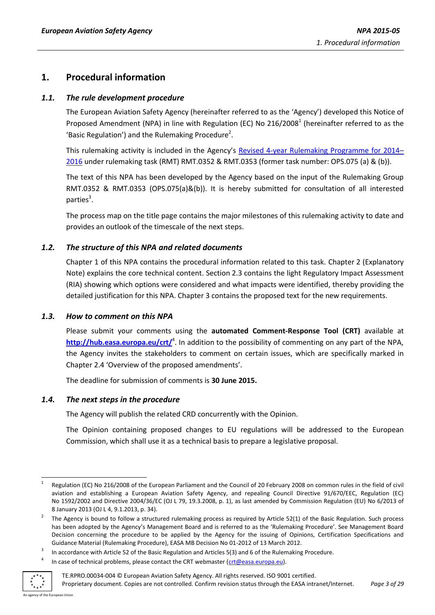# <span id="page-2-0"></span>**1. Procedural information**

# <span id="page-2-1"></span>*1.1. The rule development procedure*

The European Aviation Safety Agency (hereinafter referred to as the 'Agency') developed this Notice of Proposed Amendment (NPA) in line with Regulation (EC) No 216/2008<sup>1</sup> (hereinafter referred to as the 'Basic Regulation') and the Rulemaking Procedure<sup>2</sup>.

This rulemaking activity is included in the Agency's [Revised 4-year Rulemaking Programme for 2014](http://www.easa.europa.eu/system/files/dfu/2013-029-R-Revised%204-year%20RMP%20%282014-2017%29%20-%20Detailed%20view.pdf)– [2016](http://www.easa.europa.eu/system/files/dfu/2013-029-R-Revised%204-year%20RMP%20%282014-2017%29%20-%20Detailed%20view.pdf) under rulemaking task (RMT) RMT.0352 & RMT.0353 (former task number: OPS.075 (a) & (b)).

The text of this NPA has been developed by the Agency based on the input of the Rulemaking Group RMT.0352 & RMT.0353 (OPS.075(a)&(b)). It is hereby submitted for consultation of all interested parties<sup>3</sup>.

The process map on the title page contains the major milestones of this rulemaking activity to date and provides an outlook of the timescale of the next steps.

# <span id="page-2-2"></span>*1.2. The structure of this NPA and related documents*

Chapter 1 of this NPA contains the procedural information related to this task. Chapter 2 (Explanatory Note) explains the core technical content. Section 2.3 contains the light Regulatory Impact Assessment (RIA) showing which options were considered and what impacts were identified, thereby providing the detailed justification for this NPA. Chapter 3 contains the proposed text for the new requirements.

### <span id="page-2-3"></span>*1.3. How to comment on this NPA*

Please submit your comments using the **automated Comment-Response Tool (CRT)** available at <http://hub.easa.europa.eu/crt/><sup>4</sup>. In addition to the possibility of commenting on any part of the NPA, the Agency invites the stakeholders to comment on certain issues, which are specifically marked in Chapter 2.4 'Overview of the proposed amendments'.

The deadline for submission of comments is **30 June 2015.**

### <span id="page-2-4"></span>*1.4. The next steps in the procedure*

The Agency will publish the related CRD concurrently with the Opinion.

The Opinion containing proposed changes to EU regulations will be addressed to the European Commission, which shall use it as a technical basis to prepare a legislative proposal.

In case of technical problems, please contact the CRT webmaster [\(crt@easa.europa.eu\)](mailto:crt@easa.europa.eu).



4

<sup>1</sup> 1 Regulation (EC) No 216/2008 of the European Parliament and the Council of 20 February 2008 on common rules in the field of civil aviation and establishing a European Aviation Safety Agency, and repealing Council Directive 91/670/EEC, Regulation (EC) No 1592/2002 and Directive 2004/36/EC (OJ L 79, 19.3.2008, p. 1), as last amended by Commission Regulation (EU) No 6/2013 of 8 January 2013 (OJ L 4, 9.1.2013, p. 34).

<sup>2</sup> The Agency is bound to follow a structured rulemaking process as required by Article 52(1) of the Basic Regulation. Such process has been adopted by the Agency's Management Board and is referred to as the 'Rulemaking Procedure'. See Management Board Decision concerning the procedure to be applied by the Agency for the issuing of Opinions, Certification Specifications and Guidance Material (Rulemaking Procedure), EASA MB Decision No 01-2012 of 13 March 2012. 3

In accordance with Article 52 of the Basic Regulation and Articles 5(3) and 6 of the Rulemaking Procedure.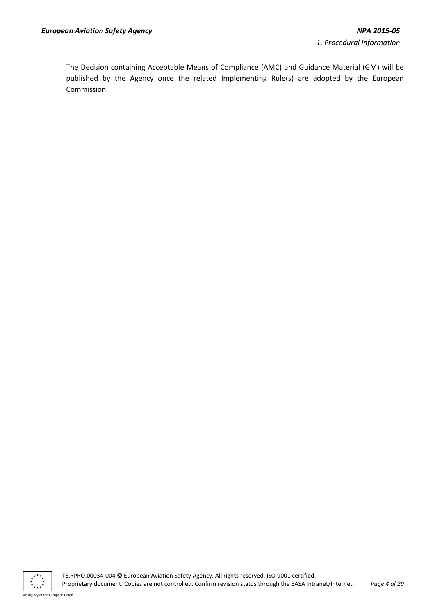The Decision containing Acceptable Means of Compliance (AMC) and Guidance Material (GM) will be published by the Agency once the related Implementing Rule(s) are adopted by the European Commission.

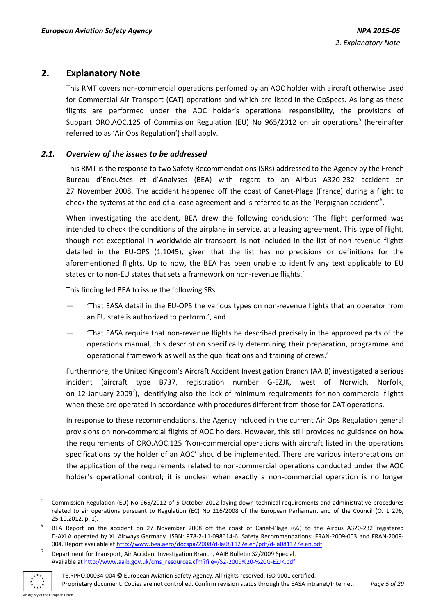# <span id="page-4-0"></span>**2. Explanatory Note**

This RMT covers non-commercial operations perfomed by an AOC holder with aircraft otherwise used for Commercial Air Transport (CAT) operations and which are listed in the OpSpecs. As long as these flights are performed under the AOC holder's operational responsibility, the provisions of Subpart ORO.AOC.125 of Commission Regulation (EU) No 965/2012 on air operations<sup>5</sup> (hereinafter referred to as 'Air Ops Regulation') shall apply.

# <span id="page-4-1"></span>*2.1. Overview of the issues to be addressed*

This RMT is the response to two Safety Recommendations (SRs) addressed to the Agency by the French Bureau d'Enquêtes et d'Analyses (BEA) with regard to an Airbus A320-232 accident on 27 November 2008. The accident happened off the coast of Canet-Plage (France) during a flight to check the systems at the end of a lease agreement and is referred to as the 'Perpignan accident'<sup>6</sup>.

When investigating the accident, BEA drew the following conclusion: 'The flight performed was intended to check the conditions of the airplane in service, at a leasing agreement. This type of flight, though not exceptional in worldwide air transport, is not included in the list of non-revenue flights detailed in the EU-OPS (1.1045), given that the list has no precisions or definitions for the aforementioned flights. Up to now, the BEA has been unable to identify any text applicable to EU states or to non-EU states that sets a framework on non-revenue flights.'

This finding led BEA to issue the following SRs:

- 'That EASA detail in the EU-OPS the various types on non-revenue flights that an operator from an EU state is authorized to perform.', and
- 'That EASA require that non-revenue flights be described precisely in the approved parts of the operations manual, this description specifically determining their preparation, programme and operational framework as well as the qualifications and training of crews.'

Furthermore, the United Kingdom's Aircraft Accident Investigation Branch (AAIB) investigated a serious incident (aircraft type B737, registration number G-EZJK, west of Norwich, Norfolk, on 12 January 2009<sup>7</sup>), identifying also the lack of minimum requirements for non-commercial flights when these are operated in accordance with procedures different from those for CAT operations.

In response to these recommendations, the Agency included in the current Air Ops Regulation general provisions on non-commercial flights of AOC holders. However, this still provides no guidance on how the requirements of ORO.AOC.125 'Non-commercial operations with aircraft listed in the operations specifications by the holder of an AOC' should be implemented. There are various interpretations on the application of the requirements related to non-commercial operations conducted under the AOC holder's operational control; it is unclear when exactly a non-commercial operation is no longer

<sup>7</sup> Department for Transport, Air Accident Investigation Branch, AAIB Bulletin S2/2009 Special. Available a[t http://www.aaib.gov.uk/cms\\_resources.cfm?file=/S2-2009%20-%20G-EZJK.pdf](http://www.aaib.gov.uk/cms_resources.cfm?file=/S2-2009%20-%20G-EZJK.pdf)



<sup>—&</sup>lt;br>5 Commission Regulation (EU) No 965/2012 of 5 October 2012 laying down technical requirements and administrative procedures related to air operations pursuant to Regulation (EC) No 216/2008 of the European Parliament and of the Council (OJ L 296, 25.10.2012, p. 1).

<sup>6</sup> [BEA Report](http://www.bea.aero/docspa/2008/d-la081127e.en/pdf/d-la081127e.en.pdf) on the accident on 27 November 2008 off the coast of Canet-Plage (66) to the Airbus A320-232 registered D-AXLA operated by XL Airways Germany. ISBN: 978-2-11-098614-6. Safety Recommendations: FRAN-2009-003 and FRAN-2009- 004. Report available a[t http://www.bea.aero/docspa/2008/d-la081127e.en/pdf/d-la081127e.en.pdf.](http://www.bea.aero/docspa/2008/d-la081127e.en/pdf/d-la081127e.en.pdf)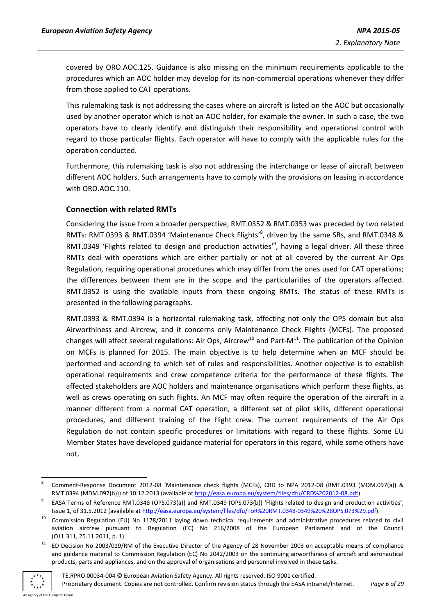covered by ORO.AOC.125. Guidance is also missing on the minimum requirements applicable to the procedures which an AOC holder may develop for its non-commercial operations whenever they differ from those applied to CAT operations.

This rulemaking task is not addressing the cases where an aircraft is listed on the AOC but occasionally used by another operator which is not an AOC holder, for example the owner. In such a case, the two operators have to clearly identify and distinguish their responsibility and operational control with regard to those particular flights. Each operator will have to comply with the applicable rules for the operation conducted.

Furthermore, this rulemaking task is also not addressing the interchange or lease of aircraft between different AOC holders. Such arrangements have to comply with the provisions on leasing in accordance with ORO.AOC.110.

# **Connection with related RMTs**

Considering the issue from a broader perspective, RMT.0352 & RMT.0353 was preceded by two related RMTs: RMT.0393 & RMT.0394 'Maintenance Check Flights<sup>'8</sup>, driven by the same SRs, and RMT.0348 & RMT.0349 'Flights related to design and production activities'<sup>9</sup>, having a legal driver. All these three RMTs deal with operations which are either partially or not at all covered by the current Air Ops Regulation, requiring operational procedures which may differ from the ones used for CAT operations; the differences between them are in the scope and the particularities of the operators affected. RMT.0352 is using the available inputs from these ongoing RMTs. The status of these RMTs is presented in the following paragraphs.

RMT.0393 & RMT.0394 is a horizontal rulemaking task, affecting not only the OPS domain but also Airworthiness and Aircrew, and it concerns only Maintenance Check Flights (MCFs). The proposed changes will affect several regulations: Air Ops, Aircrew<sup>10</sup> and Part-M<sup>11</sup>. The publication of the Opinion on MCFs is planned for 2015. The main objective is to help determine when an MCF should be performed and according to which set of rules and responsibilities. Another objective is to establish operational requirements and crew competence criteria for the performance of these flights. The affected stakeholders are AOC holders and maintenance organisations which perform these flights, as well as crews operating on such flights. An MCF may often require the operation of the aircraft in a manner different from a normal CAT operation, a different set of pilot skills, different operational procedures, and different training of the flight crew. The current requirements of the Air Ops Regulation do not contain specific procedures or limitations with regard to these flights. Some EU Member States have developed guidance material for operators in this regard, while some others have not.

<sup>11</sup> ED Decision No 2003/019/RM of the Executive Director of the Agency of 28 November 2003 on acceptable means of compliance and guidance material to Commission Regulation (EC) No 2042/2003 on the continuing airworthiness of aircraft and aeronautical products, parts and appliances, and on the approval of organisations and personnel involved in these tasks.



1

TE.RPRO.00034-004 © European Aviation Safety Agency. All rights reserved. ISO 9001 certified.

Proprietary document. Copies are not controlled. Confirm revision status through the EASA intranet/Internet. *Page 6 of 29*

<sup>8</sup> Comment-Response Document 2012-08 'Maintenance check flights (MCFs), CRD to NPA 2012-08 (RMT.0393 (MDM.097(a)) & RMT.0394 (MDM.097(b))) of 10.12.2013 (available at [http://easa.europa.eu/system/files/dfu/CRD%202012-08.pdf\)](http://easa.europa.eu/system/files/dfu/CRD%202012-08.pdf).

<sup>9</sup> EASA Terms of Reference RMT.0348 (OPS.073(a)) and RMT.0349 (OPS.073(b)) 'Flights related to design and production activities', Issue 1, of 31.5.2012 (available at [http://easa.europa.eu/system/files/dfu/ToR%20RMT.0348-0349%20%28OPS.073%29.pdf\)](http://easa.europa.eu/system/files/dfu/ToR%20RMT.0348-0349%20%28OPS.073%29.pdf).

<sup>&</sup>lt;sup>10</sup> Commission Regulation (EU) No 1178/2011 laying down technical requirements and administrative procedures related to civil aviation aircrew pursuant to Regulation (EC) No 216/2008 of the European Parliament and of the Council (OJ L 311, 25.11.2011, p. 1).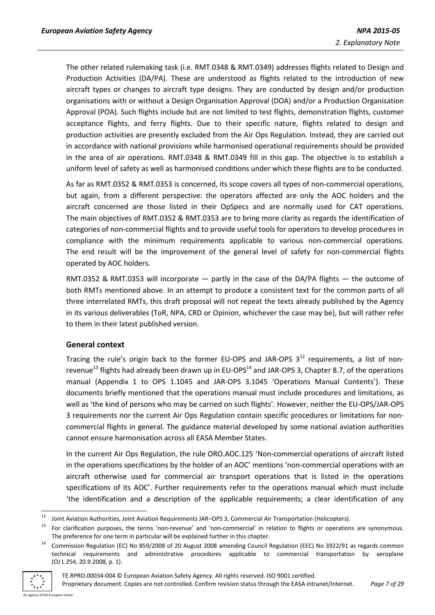The other related rulemaking task (i.e. RMT.0348 & RMT.0349) addresses flights related to Design and Production Activities (DA/PA). These are understood as flights related to the introduction of new aircraft types or changes to aircraft type designs. They are conducted by design and/or production organisations with or without a Design Organisation Approval (DOA) and/or a Production Organisation Approval (POA). Such flights include but are not limited to test flights, demonstration flights, customer acceptance flights, and ferry flights. Due to their specific nature, flights related to design and production activities are presently excluded from the Air Ops Regulation. Instead, they are carried out in accordance with national provisions while harmonised operational requirements should be provided in the area of air operations. RMT.0348 & RMT.0349 fill in this gap. The objective is to establish a uniform level of safety as well as harmonised conditions under which these flights are to be conducted.

As far as RMT.0352 & RMT.0353 is concerned, its scope covers all types of non-commercial operations, but again, from a different perspective: the operators affected are only the AOC holders and the aircraft concerned are those listed in their OpSpecs and are normally used for CAT operations. The main objectives of RMT.0352 & RMT.0353 are to bring more clarity as regards the identification of categories of non-commercial flights and to provide useful tools for operators to develop procedures in compliance with the minimum requirements applicable to various non-commercial operations. The end result will be the improvement of the general level of safety for non-commercial flights operated by AOC holders.

RMT.0352 & RMT.0353 will incorporate — partly in the case of the DA/PA flights — the outcome of both RMTs mentioned above. In an attempt to produce a consistent text for the common parts of all three interrelated RMTs, this draft proposal will not repeat the texts already published by the Agency in its various deliverables (ToR, NPA, CRD or Opinion, whichever the case may be), but will rather refer to them in their latest published version.

# **General context**

Tracing the rule's origin back to the former EU-OPS and JAR-OPS  $3^{12}$  requirements, a list of nonrevenue<sup>13</sup> flights had already been drawn up in EU-OPS<sup>14</sup> and JAR-OPS 3, Chapter 8.7, of the operations manual (Appendix 1 to OPS 1.1045 and JAR-OPS 3.1045 'Operations Manual Contents'). These documents briefly mentioned that the operations manual must include procedures and limitations, as well as 'the kind of persons who may be carried on such flights'. However, neither the EU-OPS/JAR-OPS 3 requirements nor the current Air Ops Regulation contain specific procedures or limitations for noncommercial flights in general. The guidance material developed by some national aviation authorities cannot ensure harmonisation across all EASA Member States.

In the current Air Ops Regulation, the rule ORO.AOC.125 'Non-commercial operations of aircraft listed in the operations specifications by the holder of an AOC' mentions 'non-commercial operations with an aircraft otherwise used for commercial air transport operations that is listed in the operations specifications of its AOC'. Further requirements refer to the operations manual which must include 'the identification and a description of the applicable requirements; a clear identification of any

<sup>14</sup> Commission Regulation (EC) No 859/2008 of 20 August 2008 amending Council Regulation (EEC) No 3922/91 as regards common technical requirements and administrative procedures applicable to commercial transportation by aeroplane (OJ L 254, 20.9.2008, p. 1).



 $12\,$ <sup>12</sup> Joint Aviation Authorities, Joint Aviation Requirements JAR–OPS 3, Commercial Air Transportation (Helicopters).

<sup>&</sup>lt;sup>13</sup> For clarification purposes, the terms 'non-revenue' and 'non-commercial' in relation to flights or operations are synonymous. The preference for one term in particular will be explained further in this chapter.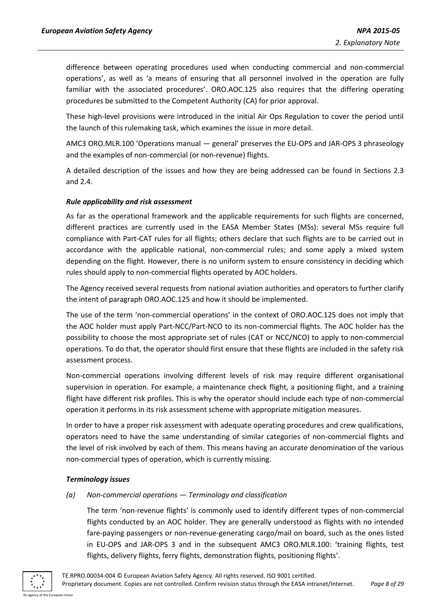difference between operating procedures used when conducting commercial and non-commercial operations', as well as 'a means of ensuring that all personnel involved in the operation are fully familiar with the associated procedures'. ORO.AOC.125 also requires that the differing operating procedures be submitted to the Competent Authority (CA) for prior approval.

These high-level provisions were introduced in the initial Air Ops Regulation to cover the period until the launch of this rulemaking task, which examines the issue in more detail.

AMC3 ORO.MLR.100 'Operations manual — general' preserves the EU-OPS and JAR-OPS 3 phraseology and the examples of non-commercial (or non-revenue) flights.

A detailed description of the issues and how they are being addressed can be found in Sections 2.3 and 2.4.

# *Rule applicability and risk assessment*

As far as the operational framework and the applicable requirements for such flights are concerned, different practices are currently used in the EASA Member States (MSs): several MSs require full compliance with Part-CAT rules for all flights; others declare that such flights are to be carried out in accordance with the applicable national, non-commercial rules; and some apply a mixed system depending on the flight. However, there is no uniform system to ensure consistency in deciding which rules should apply to non-commercial flights operated by AOC holders.

The Agency received several requests from national aviation authorities and operators to further clarify the intent of paragraph ORO.AOC.125 and how it should be implemented.

The use of the term 'non-commercial operations' in the context of ORO.AOC.125 does not imply that the AOC holder must apply Part-NCC/Part-NCO to its non-commercial flights. The AOC holder has the possibility to choose the most appropriate set of rules (CAT or NCC/NCO) to apply to non-commercial operations. To do that, the operator should first ensure that these flights are included in the safety risk assessment process.

Non-commercial operations involving different levels of risk may require different organisational supervision in operation. For example, a maintenance check flight, a positioning flight, and a training flight have different risk profiles. This is why the operator should include each type of non-commercial operation it performs in its risk assessment scheme with appropriate mitigation measures.

In order to have a proper risk assessment with adequate operating procedures and crew qualifications, operators need to have the same understanding of similar categories of non-commercial flights and the level of risk involved by each of them. This means having an accurate denomination of the various non-commercial types of operation, which is currently missing.

# *Terminology issues*

### *(a) Non-commercial operations — Terminology and classification*

The term 'non-revenue flights' is commonly used to identify different types of non-commercial flights conducted by an AOC holder. They are generally understood as flights with no intended fare-paying passengers or non-revenue-generating cargo/mail on board, such as the ones listed in EU-OPS and JAR-OPS 3 and in the subsequent AMC3 ORO.MLR.100: 'training flights, test flights, delivery flights, ferry flights, demonstration flights, positioning flights'.

An agency of the European Union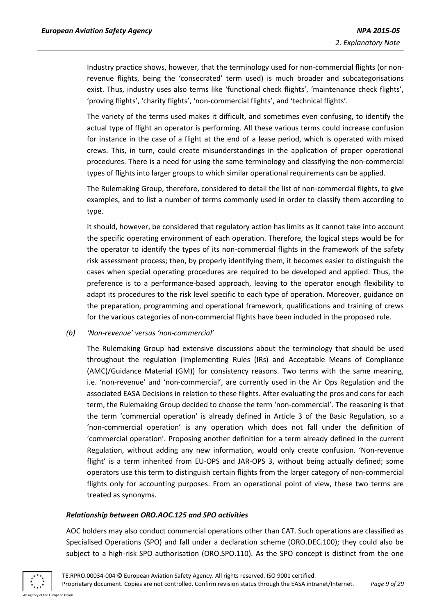Industry practice shows, however, that the terminology used for non-commercial flights (or nonrevenue flights, being the 'consecrated' term used) is much broader and subcategorisations exist. Thus, industry uses also terms like 'functional check flights', 'maintenance check flights', 'proving flights', 'charity flights', 'non-commercial flights', and 'technical flights'.

The variety of the terms used makes it difficult, and sometimes even confusing, to identify the actual type of flight an operator is performing. All these various terms could increase confusion for instance in the case of a flight at the end of a lease period, which is operated with mixed crews. This, in turn, could create misunderstandings in the application of proper operational procedures. There is a need for using the same terminology and classifying the non-commercial types of flights into larger groups to which similar operational requirements can be applied.

The Rulemaking Group, therefore, considered to detail the list of non-commercial flights, to give examples, and to list a number of terms commonly used in order to classify them according to type.

It should, however, be considered that regulatory action has limits as it cannot take into account the specific operating environment of each operation. Therefore, the logical steps would be for the operator to identify the types of its non-commercial flights in the framework of the safety risk assessment process; then, by properly identifying them, it becomes easier to distinguish the cases when special operating procedures are required to be developed and applied. Thus, the preference is to a performance-based approach, leaving to the operator enough flexibility to adapt its procedures to the risk level specific to each type of operation. Moreover, guidance on the preparation, programming and operational framework, qualifications and training of crews for the various categories of non-commercial flights have been included in the proposed rule.

### *(b) 'Non-revenue' versus 'non-commercial'*

The Rulemaking Group had extensive discussions about the terminology that should be used throughout the regulation (Implementing Rules (IRs) and Acceptable Means of Compliance (AMC)/Guidance Material (GM)) for consistency reasons. Two terms with the same meaning, i.e. 'non-revenue' and 'non-commercial', are currently used in the Air Ops Regulation and the associated EASA Decisions in relation to these flights. After evaluating the pros and cons for each term, the Rulemaking Group decided to choose the term 'non-commercial'. The reasoning is that the term 'commercial operation' is already defined in Article 3 of the Basic Regulation, so a 'non-commercial operation' is any operation which does not fall under the definition of 'commercial operation'. Proposing another definition for a term already defined in the current Regulation, without adding any new information, would only create confusion. 'Non-revenue flight' is a term inherited from EU-OPS and JAR-OPS 3, without being actually defined; some operators use this term to distinguish certain flights from the larger category of non-commercial flights only for accounting purposes. From an operational point of view, these two terms are treated as synonyms.

### *Relationship between ORO.AOC.125 and SPO activities*

AOC holders may also conduct commercial operations other than CAT. Such operations are classified as Specialised Operations (SPO) and fall under a declaration scheme (ORO.DEC.100); they could also be subject to a high-risk SPO authorisation (ORO.SPO.110). As the SPO concept is distinct from the one

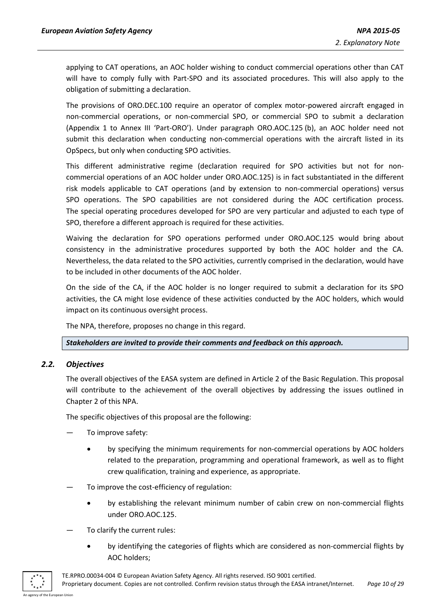applying to CAT operations, an AOC holder wishing to conduct commercial operations other than CAT will have to comply fully with Part-SPO and its associated procedures. This will also apply to the obligation of submitting a declaration.

The provisions of ORO.DEC.100 require an operator of complex motor-powered aircraft engaged in non-commercial operations, or non-commercial SPO, or commercial SPO to submit a declaration (Appendix 1 to Annex III 'Part-ORO'). Under paragraph ORO.AOC.125 (b), an AOC holder need not submit this declaration when conducting non-commercial operations with the aircraft listed in its OpSpecs, but only when conducting SPO activities.

This different administrative regime (declaration required for SPO activities but not for noncommercial operations of an AOC holder under ORO.AOC.125) is in fact substantiated in the different risk models applicable to CAT operations (and by extension to non-commercial operations) versus SPO operations. The SPO capabilities are not considered during the AOC certification process. The special operating procedures developed for SPO are very particular and adjusted to each type of SPO, therefore a different approach is required for these activities.

Waiving the declaration for SPO operations performed under ORO.AOC.125 would bring about consistency in the administrative procedures supported by both the AOC holder and the CA. Nevertheless, the data related to the SPO activities, currently comprised in the declaration, would have to be included in other documents of the AOC holder.

On the side of the CA, if the AOC holder is no longer required to submit a declaration for its SPO activities, the CA might lose evidence of these activities conducted by the AOC holders, which would impact on its continuous oversight process.

The NPA, therefore, proposes no change in this regard.

*Stakeholders are invited to provide their comments and feedback on this approach.*

# <span id="page-9-0"></span>*2.2. Objectives*

The overall objectives of the EASA system are defined in Article 2 of the Basic Regulation. This proposal will contribute to the achievement of the overall objectives by addressing the issues outlined in Chapter 2 of this NPA.

The specific objectives of this proposal are the following:

- To improve safety:
	- by specifying the minimum requirements for non-commercial operations by AOC holders related to the preparation, programming and operational framework, as well as to flight crew qualification, training and experience, as appropriate.
- To improve the cost-efficiency of regulation:
	- by establishing the relevant minimum number of cabin crew on non-commercial flights under ORO.AOC.125.
- To clarify the current rules:
	- by identifying the categories of flights which are considered as non-commercial flights by AOC holders;



TE.RPRO.00034-004 © European Aviation Safety Agency. All rights reserved. ISO 9001 certified. Proprietary document. Copies are not controlled. Confirm revision status through the EASA intranet/Internet. *Page 10 of 29*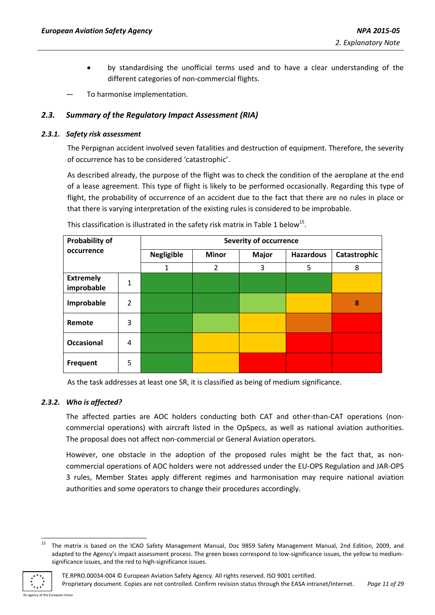- by standardising the unofficial terms used and to have a clear understanding of the different categories of non-commercial flights.
- To harmonise implementation.

# <span id="page-10-0"></span>*2.3. Summary of the Regulatory Impact Assessment (RIA)*

### <span id="page-10-1"></span>*2.3.1. Safety risk assessment*

The Perpignan accident involved seven fatalities and destruction of equipment. Therefore, the severity of occurrence has to be considered 'catastrophic'.

As described already, the purpose of the flight was to check the condition of the aeroplane at the end of a lease agreement. This type of flight is likely to be performed occasionally. Regarding this type of flight, the probability of occurrence of an accident due to the fact that there are no rules in place or that there is varying interpretation of the existing rules is considered to be improbable.

| Probability of                 |                | <b>Severity of occurrence</b> |                |              |                  |              |
|--------------------------------|----------------|-------------------------------|----------------|--------------|------------------|--------------|
| occurrence                     |                | <b>Negligible</b>             | <b>Minor</b>   | <b>Major</b> | <b>Hazardous</b> | Catastrophic |
|                                |                | 1                             | $\overline{2}$ | 3            | 5                | 8            |
| <b>Extremely</b><br>improbable | 1              |                               |                |              |                  |              |
| Improbable                     | $\overline{2}$ |                               |                |              |                  | 8            |
| Remote                         | 3              |                               |                |              |                  |              |
| <b>Occasional</b>              | 4              |                               |                |              |                  |              |
| Frequent                       | 5              |                               |                |              |                  |              |

This classification is illustrated in the safety risk matrix in Table 1 below<sup>15</sup>.

As the task addresses at least one SR, it is classified as being of medium significance.

### <span id="page-10-2"></span>*2.3.2. Who is affected?*

The affected parties are AOC holders conducting both CAT and other-than-CAT operations (noncommercial operations) with aircraft listed in the OpSpecs, as well as national aviation authorities. The proposal does not affect non-commercial or General Aviation operators.

However, one obstacle in the adoption of the proposed rules might be the fact that, as noncommercial operations of AOC holders were not addressed under the EU-OPS Regulation and JAR-OPS 3 rules, Member States apply different regimes and harmonisation may require national aviation authorities and some operators to change their procedures accordingly.

 $15$ <sup>15</sup> The matrix is based on the ICAO Safety Management Manual, Doc 9859 Safety Management Manual, 2nd Edition, 2009, and adapted to the Agency's impact assessment process. The green boxes correspond to low-significance issues, the yellow to mediumsignificance issues, and the red to high-significance issues.

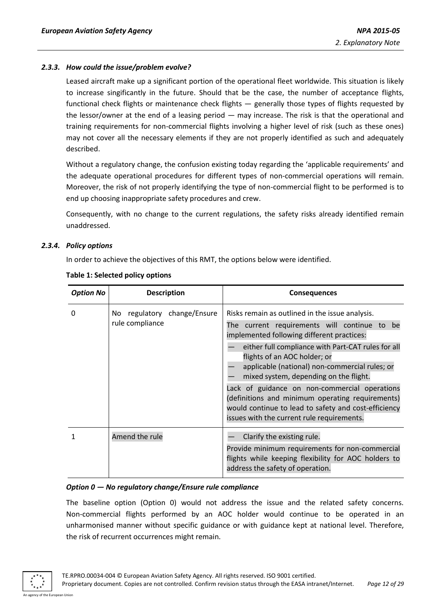# <span id="page-11-0"></span>*2.3.3. How could the issue/problem evolve?*

Leased aircraft make up a significant portion of the operational fleet worldwide. This situation is likely to increase singificantly in the future. Should that be the case, the number of acceptance flights, functional check flights or maintenance check flights — generally those types of flights requested by the lessor/owner at the end of a leasing period — may increase. The risk is that the operational and training requirements for non-commercial flights involving a higher level of risk (such as these ones) may not cover all the necessary elements if they are not properly identified as such and adequately described.

Without a regulatory change, the confusion existing today regarding the 'applicable requirements' and the adequate operational procedures for different types of non-commercial operations will remain. Moreover, the risk of not properly identifying the type of non-commercial flight to be performed is to end up choosing inappropriate safety procedures and crew.

Consequently, with no change to the current regulations, the safety risks already identified remain unaddressed.

### <span id="page-11-1"></span>*2.3.4. Policy options*

In order to achieve the objectives of this RMT, the options below were identified.

| <b>Option No</b> | <b>Description</b>                                  | <b>Consequences</b>                                                                                                                                                                                                                                                                                                                                                                                                                                                                                                                        |
|------------------|-----------------------------------------------------|--------------------------------------------------------------------------------------------------------------------------------------------------------------------------------------------------------------------------------------------------------------------------------------------------------------------------------------------------------------------------------------------------------------------------------------------------------------------------------------------------------------------------------------------|
| 0                | regulatory change/Ensure<br>No l<br>rule compliance | Risks remain as outlined in the issue analysis.<br>The current requirements will continue to be<br>implemented following different practices:<br>either full compliance with Part-CAT rules for all<br>flights of an AOC holder; or<br>applicable (national) non-commercial rules; or<br>mixed system, depending on the flight.<br>Lack of guidance on non-commercial operations<br>(definitions and minimum operating requirements)<br>would continue to lead to safety and cost-efficiency<br>issues with the current rule requirements. |
|                  | Amend the rule                                      | Clarify the existing rule.<br>Provide minimum requirements for non-commercial<br>flights while keeping flexibility for AOC holders to<br>address the safety of operation.                                                                                                                                                                                                                                                                                                                                                                  |

# **Table 1: Selected policy options**

### *Option 0 — No regulatory change/Ensure rule compliance*

The baseline option (Option 0) would not address the issue and the related safety concerns. Non-commercial flights performed by an AOC holder would continue to be operated in an unharmonised manner without specific guidance or with guidance kept at national level. Therefore, the risk of recurrent occurrences might remain.

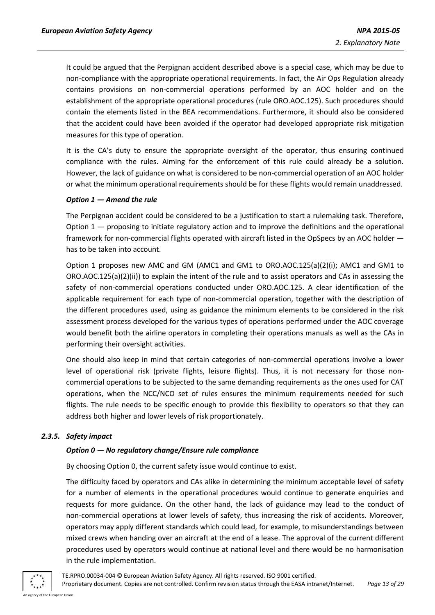It could be argued that the Perpignan accident described above is a special case, which may be due to non-compliance with the appropriate operational requirements. In fact, the Air Ops Regulation already contains provisions on non-commercial operations performed by an AOC holder and on the establishment of the appropriate operational procedures (rule ORO.AOC.125). Such procedures should contain the elements listed in the BEA recommendations. Furthermore, it should also be considered that the accident could have been avoided if the operator had developed appropriate risk mitigation measures for this type of operation.

It is the CA's duty to ensure the appropriate oversight of the operator, thus ensuring continued compliance with the rules. Aiming for the enforcement of this rule could already be a solution. However, the lack of guidance on what is considered to be non-commercial operation of an AOC holder or what the minimum operational requirements should be for these flights would remain unaddressed.

### *Option 1 — Amend the rule*

The Perpignan accident could be considered to be a justification to start a rulemaking task. Therefore, Option  $1$  — proposing to initiate regulatory action and to improve the definitions and the operational framework for non-commercial flights operated with aircraft listed in the OpSpecs by an AOC holder has to be taken into account.

Option 1 proposes new AMC and GM (AMC1 and GM1 to ORO.AOC.125(a)(2)(i); AMC1 and GM1 to ORO.AOC.125(a)(2)(ii)) to explain the intent of the rule and to assist operators and CAs in assessing the safety of non-commercial operations conducted under ORO.AOC.125. A clear identification of the applicable requirement for each type of non-commercial operation, together with the description of the different procedures used, using as guidance the minimum elements to be considered in the risk assessment process developed for the various types of operations performed under the AOC coverage would benefit both the airline operators in completing their operations manuals as well as the CAs in performing their oversight activities.

One should also keep in mind that certain categories of non-commercial operations involve a lower level of operational risk (private flights, leisure flights). Thus, it is not necessary for those noncommercial operations to be subjected to the same demanding requirements as the ones used for CAT operations, when the NCC/NCO set of rules ensures the minimum requirements needed for such flights. The rule needs to be specific enough to provide this flexibility to operators so that they can address both higher and lower levels of risk proportionately.

### <span id="page-12-0"></span>*2.3.5. Safety impact*

### *Option 0 — No regulatory change/Ensure rule compliance*

By choosing Option 0, the current safety issue would continue to exist.

The difficulty faced by operators and CAs alike in determining the minimum acceptable level of safety for a number of elements in the operational procedures would continue to generate enquiries and requests for more guidance. On the other hand, the lack of guidance may lead to the conduct of non-commercial operations at lower levels of safety, thus increasing the risk of accidents. Moreover, operators may apply different standards which could lead, for example, to misunderstandings between mixed crews when handing over an aircraft at the end of a lease. The approval of the current different procedures used by operators would continue at national level and there would be no harmonisation in the rule implementation.

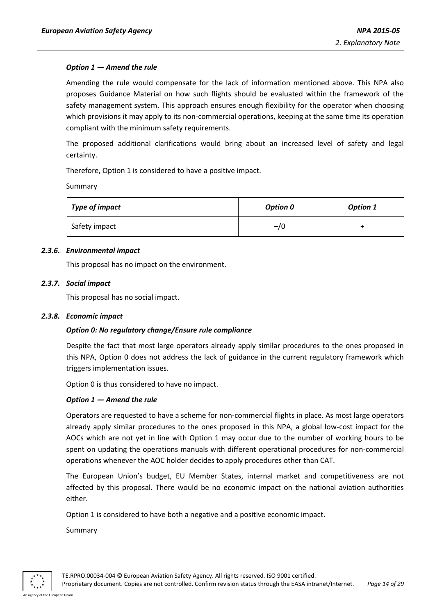### *Option 1 — Amend the rule*

Amending the rule would compensate for the lack of information mentioned above. This NPA also proposes Guidance Material on how such flights should be evaluated within the framework of the safety management system. This approach ensures enough flexibility for the operator when choosing which provisions it may apply to its non-commercial operations, keeping at the same time its operation compliant with the minimum safety requirements.

The proposed additional clarifications would bring about an increased level of safety and legal certainty.

Therefore, Option 1 is considered to have a positive impact.

Summary

| <b>Type of impact</b> | Option 0 | <b>Option 1</b> |
|-----------------------|----------|-----------------|
| Safety impact         | $-10$    |                 |

### <span id="page-13-0"></span>*2.3.6. Environmental impact*

This proposal has no impact on the environment.

# <span id="page-13-1"></span>*2.3.7. Social impact*

This proposal has no social impact.

### <span id="page-13-2"></span>*2.3.8. Economic impact*

### *Option 0: No regulatory change/Ensure rule compliance*

Despite the fact that most large operators already apply similar procedures to the ones proposed in this NPA, Option 0 does not address the lack of guidance in the current regulatory framework which triggers implementation issues.

Option 0 is thus considered to have no impact.

### *Option 1 — Amend the rule*

Operators are requested to have a scheme for non-commercial flights in place. As most large operators already apply similar procedures to the ones proposed in this NPA, a global low-cost impact for the AOCs which are not yet in line with Option 1 may occur due to the number of working hours to be spent on updating the operations manuals with different operational procedures for non-commercial operations whenever the AOC holder decides to apply procedures other than CAT.

The European Union's budget, EU Member States, internal market and competitiveness are not affected by this proposal. There would be no economic impact on the national aviation authorities either.

Option 1 is considered to have both a negative and a positive economic impact.

Summary

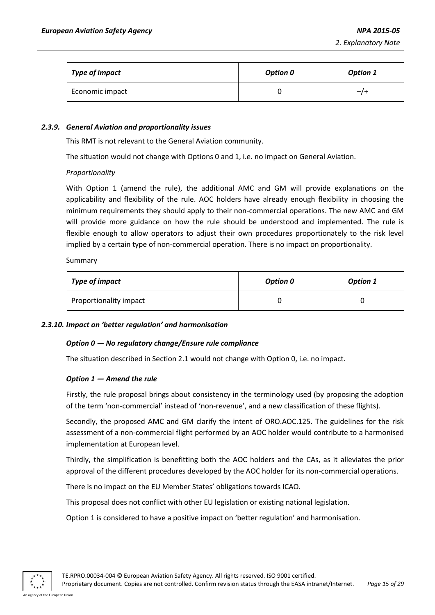| Type of impact  | Option 0 | <b>Option 1</b> |
|-----------------|----------|-----------------|
| Economic impact |          | — / +           |

### <span id="page-14-0"></span>*2.3.9. General Aviation and proportionality issues*

This RMT is not relevant to the General Aviation community.

The situation would not change with Options 0 and 1, i.e. no impact on General Aviation.

### *Proportionality*

With Option 1 (amend the rule), the additional AMC and GM will provide explanations on the applicability and flexibility of the rule. AOC holders have already enough flexibility in choosing the minimum requirements they should apply to their non-commercial operations. The new AMC and GM will provide more guidance on how the rule should be understood and implemented. The rule is flexible enough to allow operators to adjust their own procedures proportionately to the risk level implied by a certain type of non-commercial operation. There is no impact on proportionality.

### Summary

| <b>Type of impact</b>  | Option 0 | <b>Option 1</b> |
|------------------------|----------|-----------------|
| Proportionality impact |          |                 |

### <span id="page-14-1"></span>*2.3.10. Impact on 'better regulation' and harmonisation*

### *Option 0 — No regulatory change/Ensure rule compliance*

The situation described in Section 2.1 would not change with Option 0, i.e. no impact.

### *Option 1 — Amend the rule*

Firstly, the rule proposal brings about consistency in the terminology used (by proposing the adoption of the term 'non-commercial' instead of 'non-revenue', and a new classification of these flights).

Secondly, the proposed AMC and GM clarify the intent of ORO.AOC.125. The guidelines for the risk assessment of a non-commercial flight performed by an AOC holder would contribute to a harmonised implementation at European level.

Thirdly, the simplification is benefitting both the AOC holders and the CAs, as it alleviates the prior approval of the different procedures developed by the AOC holder for its non-commercial operations.

There is no impact on the EU Member States' obligations towards ICAO.

This proposal does not conflict with other EU legislation or existing national legislation.

Option 1 is considered to have a positive impact on 'better regulation' and harmonisation.

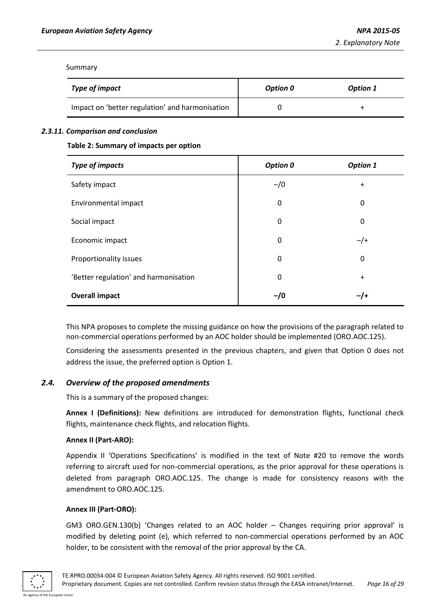Summary

| <b>Type of impact</b>                           | Option 0 | <b>Option 1</b> |
|-------------------------------------------------|----------|-----------------|
| Impact on 'better regulation' and harmonisation |          |                 |

### <span id="page-15-0"></span>*2.3.11. Comparison and conclusion*

### **Table 2: Summary of impacts per option**

| <b>Type of impacts</b>                | <b>Option 0</b> | <b>Option 1</b> |
|---------------------------------------|-----------------|-----------------|
| Safety impact                         | $-1/0$          | $\ddot{}$       |
| Environmental impact                  | 0               | 0               |
| Social impact                         | $\mathbf 0$     | 0               |
| Economic impact                       | 0               | $-$ /+          |
| Proportionality issues                | 0               | 0               |
| 'Better regulation' and harmonisation | 0               | $\ddot{}$       |
| <b>Overall impact</b>                 | $-1/0$          | $-l+$           |

This NPA proposes to complete the missing guidance on how the provisions of the paragraph related to non-commercial operations performed by an AOC holder should be implemented (ORO.AOC.125).

Considering the assessments presented in the previous chapters, and given that Option 0 does not address the issue, the preferred option is Option 1.

### <span id="page-15-1"></span>*2.4. Overview of the proposed amendments*

This is a summary of the proposed changes:

**Annex I (Definitions):** New definitions are introduced for demonstration flights, functional check flights, maintenance check flights, and relocation flights.

### **Annex II (Part-ARO):**

Appendix II 'Operations Specifications' is modified in the text of Note #20 to remove the words referring to aircraft used for non-commercial operations, as the prior approval for these operations is deleted from paragraph ORO.AOC.125. The change is made for consistency reasons with the amendment to ORO.AOC.125.

### **Annex III (Part-ORO):**

GM3 ORO.GEN.130(b) 'Changes related to an AOC holder – Changes requiring prior approval' is modified by deleting point (e), which referred to non-commercial operations performed by an AOC holder, to be consistent with the removal of the prior approval by the CA.

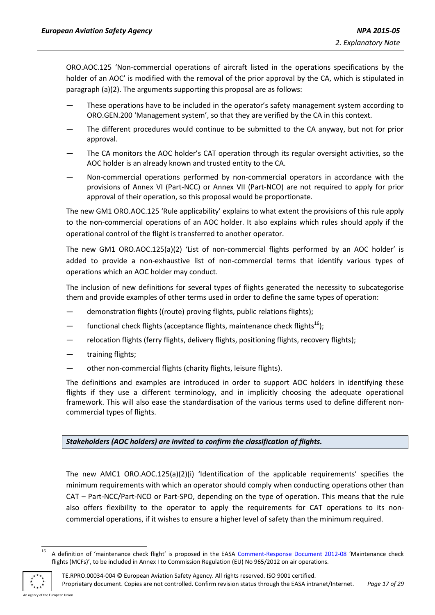ORO.AOC.125 'Non-commercial operations of aircraft listed in the operations specifications by the holder of an AOC' is modified with the removal of the prior approval by the CA, which is stipulated in paragraph (a)(2). The arguments supporting this proposal are as follows:

- These operations have to be included in the operator's safety management system according to ORO.GEN.200 'Management system', so that they are verified by the CA in this context.
- The different procedures would continue to be submitted to the CA anyway, but not for prior approval.
- The CA monitors the AOC holder's CAT operation through its regular oversight activities, so the AOC holder is an already known and trusted entity to the CA.
- Non-commercial operations performed by non-commercial operators in accordance with the provisions of Annex VI (Part-NCC) or Annex VII (Part-NCO) are not required to apply for prior approval of their operation, so this proposal would be proportionate.

The new GM1 ORO.AOC.125 'Rule applicability' explains to what extent the provisions of this rule apply to the non-commercial operations of an AOC holder. It also explains which rules should apply if the operational control of the flight is transferred to another operator.

The new GM1 ORO.AOC.125(a)(2) 'List of non-commercial flights performed by an AOC holder' is added to provide a non-exhaustive list of non-commercial terms that identify various types of operations which an AOC holder may conduct.

The inclusion of new definitions for several types of flights generated the necessity to subcategorise them and provide examples of other terms used in order to define the same types of operation:

- demonstration flights ((route) proving flights, public relations flights);
- functional check flights (acceptance flights, maintenance check flights<sup>16</sup>);
- relocation flights (ferry flights, delivery flights, positioning flights, recovery flights);
- training flights;
- other non-commercial flights (charity flights, leisure flights).

The definitions and examples are introduced in order to support AOC holders in identifying these flights if they use a different terminology, and in implicitly choosing the adequate operational framework. This will also ease the standardisation of the various terms used to define different noncommercial types of flights.

*Stakeholders (AOC holders) are invited to confirm the classification of flights.* 

The new AMC1 ORO.AOC.125(a)(2)(i) 'Identification of the applicable requirements' specifies the minimum requirements with which an operator should comply when conducting operations other than CAT – Part-NCC/Part-NCO or Part-SPO, depending on the type of operation. This means that the rule also offers flexibility to the operator to apply the requirements for CAT operations to its noncommercial operations, if it wishes to ensure a higher level of safety than the minimum required.

<sup>16</sup> <sup>16</sup> A definition of 'maintenance check flight' is proposed in the EASA [Comment-Response Document 2012-08](http://easa.europa.eu/system/files/dfu/CRD%202012-08.pdf) 'Maintenance check flights (MCFs)', to be included in Annex I to Commission Regulation (EU) No 965/2012 on air operations.

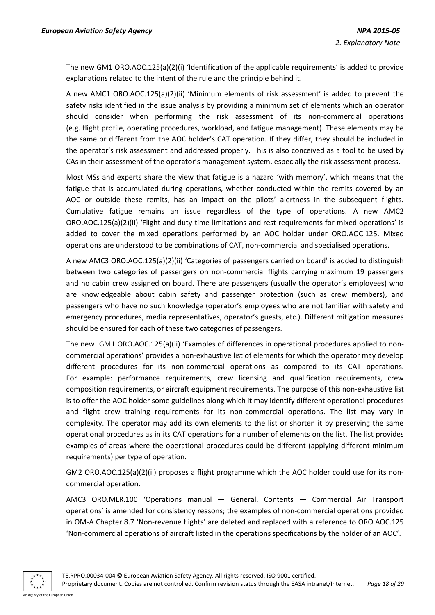The new GM1 ORO.AOC.125(a)(2)(i) 'Identification of the applicable requirements' is added to provide explanations related to the intent of the rule and the principle behind it.

A new AMC1 ORO.AOC.125(a)(2)(ii) 'Minimum elements of risk assessment' is added to prevent the safety risks identified in the issue analysis by providing a minimum set of elements which an operator should consider when performing the risk assessment of its non-commercial operations (e.g. flight profile, operating procedures, workload, and fatigue management). These elements may be the same or different from the AOC holder's CAT operation. If they differ, they should be included in the operator's risk assessment and addressed properly. This is also conceived as a tool to be used by CAs in their assessment of the operator's management system, especially the risk assessment process.

Most MSs and experts share the view that fatigue is a hazard 'with memory', which means that the fatigue that is accumulated during operations, whether conducted within the remits covered by an AOC or outside these remits, has an impact on the pilots' alertness in the subsequent flights. Cumulative fatigue remains an issue regardless of the type of operations. A new AMC2 ORO.AOC.125(a)(2)(ii) 'Flight and duty time limitations and rest requirements for mixed operations' is added to cover the mixed operations performed by an AOC holder under ORO.AOC.125. Mixed operations are understood to be combinations of CAT, non-commercial and specialised operations.

A new AMC3 ORO.AOC.125(a)(2)(ii) 'Categories of passengers carried on board' is added to distinguish between two categories of passengers on non-commercial flights carrying maximum 19 passengers and no cabin crew assigned on board. There are passengers (usually the operator's employees) who are knowledgeable about cabin safety and passenger protection (such as crew members), and passengers who have no such knowledge (operator's employees who are not familiar with safety and emergency procedures, media representatives, operator's guests, etc.). Different mitigation measures should be ensured for each of these two categories of passengers.

The new GM1 ORO.AOC.125(a)(ii) 'Examples of differences in operational procedures applied to noncommercial operations' provides a non-exhaustive list of elements for which the operator may develop different procedures for its non-commercial operations as compared to its CAT operations. For example: performance requirements, crew licensing and qualification requirements, crew composition requirements, or aircraft equipment requirements. The purpose of this non-exhaustive list is to offer the AOC holder some guidelines along which it may identify different operational procedures and flight crew training requirements for its non-commercial operations. The list may vary in complexity. The operator may add its own elements to the list or shorten it by preserving the same operational procedures as in its CAT operations for a number of elements on the list. The list provides examples of areas where the operational procedures could be different (applying different minimum requirements) per type of operation.

GM2 ORO.AOC.125(a)(2)(ii) proposes a flight programme which the AOC holder could use for its noncommercial operation.

AMC3 ORO.MLR.100 'Operations manual — General. Contents — Commercial Air Transport operations' is amended for consistency reasons; the examples of non-commercial operations provided in OM-A Chapter 8.7 'Non-revenue flights' are deleted and replaced with a reference to ORO.AOC.125 'Non-commercial operations of aircraft listed in the operations specifications by the holder of an AOC'.

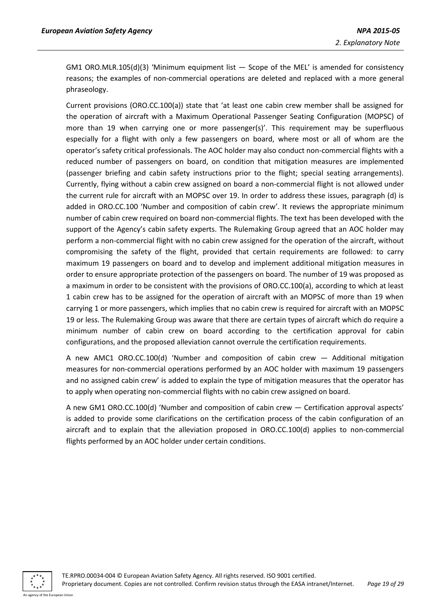GM1 ORO.MLR.105(d)(3) 'Minimum equipment list  $-$  Scope of the MEL' is amended for consistency reasons; the examples of non-commercial operations are deleted and replaced with a more general phraseology.

Current provisions (ORO.CC.100(a)) state that 'at least one cabin crew member shall be assigned for the operation of aircraft with a Maximum Operational Passenger Seating Configuration (MOPSC) of more than 19 when carrying one or more passenger(s)'. This requirement may be superfluous especially for a flight with only a few passengers on board, where most or all of whom are the operator's safety critical professionals. The AOC holder may also conduct non-commercial flights with a reduced number of passengers on board, on condition that mitigation measures are implemented (passenger briefing and cabin safety instructions prior to the flight; special seating arrangements). Currently, flying without a cabin crew assigned on board a non-commercial flight is not allowed under the current rule for aircraft with an MOPSC over 19. In order to address these issues, paragraph (d) is added in ORO.CC.100 'Number and composition of cabin crew'. It reviews the appropriate minimum number of cabin crew required on board non-commercial flights. The text has been developed with the support of the Agency's cabin safety experts. The Rulemaking Group agreed that an AOC holder may perform a non-commercial flight with no cabin crew assigned for the operation of the aircraft, without compromising the safety of the flight, provided that certain requirements are followed: to carry maximum 19 passengers on board and to develop and implement additional mitigation measures in order to ensure appropriate protection of the passengers on board. The number of 19 was proposed as a maximum in order to be consistent with the provisions of ORO.CC.100(a), according to which at least 1 cabin crew has to be assigned for the operation of aircraft with an MOPSC of more than 19 when carrying 1 or more passengers, which implies that no cabin crew is required for aircraft with an MOPSC 19 or less. The Rulemaking Group was aware that there are certain types of aircraft which do require a minimum number of cabin crew on board according to the certification approval for cabin configurations, and the proposed alleviation cannot overrule the certification requirements.

A new AMC1 ORO.CC.100(d) 'Number and composition of cabin crew — Additional mitigation measures for non-commercial operations performed by an AOC holder with maximum 19 passengers and no assigned cabin crew' is added to explain the type of mitigation measures that the operator has to apply when operating non-commercial flights with no cabin crew assigned on board.

A new GM1 ORO.CC.100(d) 'Number and composition of cabin crew — Certification approval aspects' is added to provide some clarifications on the certification process of the cabin configuration of an aircraft and to explain that the alleviation proposed in ORO.CC.100(d) applies to non-commercial flights performed by an AOC holder under certain conditions.

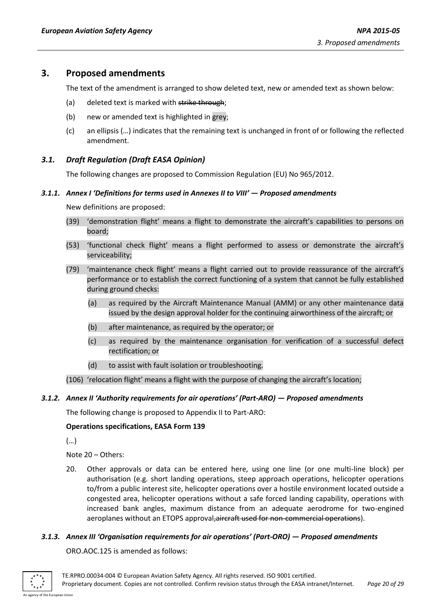# <span id="page-19-0"></span>**3. Proposed amendments**

The text of the amendment is arranged to show deleted text, new or amended text as shown below:

- (a) deleted text is marked with strike through;
- (b) new or amended text is highlighted in grey;
- (c) an ellipsis (…) indicates that the remaining text is unchanged in front of or following the reflected amendment.

# <span id="page-19-1"></span>*3.1. Draft Regulation (Draft EASA Opinion)*

The following changes are proposed to Commission Regulation (EU) No 965/2012.

### <span id="page-19-2"></span>*3.1.1. Annex I 'Definitions for terms used in Annexes II to VIII' — Proposed amendments*

New definitions are proposed:

- (39) 'demonstration flight' means a flight to demonstrate the aircraft's capabilities to persons on board;
- (53) 'functional check flight' means a flight performed to assess or demonstrate the aircraft's serviceability;
- (79) 'maintenance check flight' means a flight carried out to provide reassurance of the aircraft's performance or to establish the correct functioning of a system that cannot be fully established during ground checks:
	- (a) as required by the Aircraft Maintenance Manual (AMM) or any other maintenance data issued by the design approval holder for the continuing airworthiness of the aircraft; or
	- (b) after maintenance, as required by the operator; or
	- (c) as required by the maintenance organisation for verification of a successful defect rectification; or
	- (d) to assist with fault isolation or troubleshooting.
- (106) 'relocation flight' means a flight with the purpose of changing the aircraft's location;

### <span id="page-19-3"></span>*3.1.2. Annex II 'Authority requirements for air operations' (Part-ARO) — Proposed amendments*

The following change is proposed to Appendix II to Part-ARO:

### **Operations specifications, EASA Form 139**

(…)

Note 20 – Others:

20. Other approvals or data can be entered here, using one line (or one multi-line block) per authorisation (e.g. short landing operations, steep approach operations, helicopter operations to/from a public interest site, helicopter operations over a hostile environment located outside a congested area, helicopter operations without a safe forced landing capability, operations with increased bank angles, maximum distance from an adequate aerodrome for two-engined aeroplanes without an ETOPS approval, alternal used for non-commercial operations).

### <span id="page-19-4"></span>*3.1.3. Annex III 'Organisation requirements for air operations' (Part-ORO) — Proposed amendments*

ORO.AOC.125 is amended as follows:



An agency of the European Union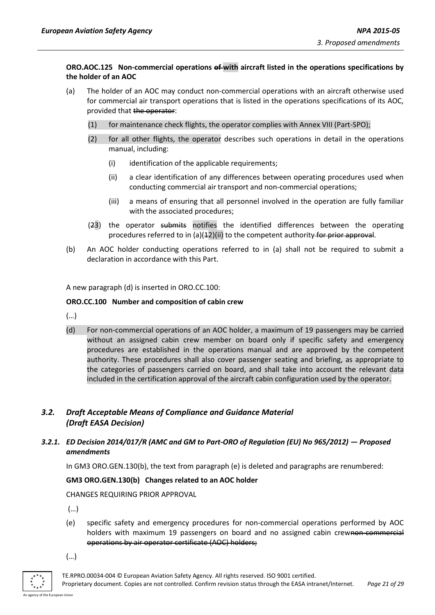# **ORO.AOC.125 Non-commercial operations of with aircraft listed in the operations specifications by the holder of an AOC**

- (a) The holder of an AOC may conduct non-commercial operations with an aircraft otherwise used for commercial air transport operations that is listed in the operations specifications of its AOC, provided that the operator:
	- (1) for maintenance check flights, the operator complies with Annex VIII (Part-SPO);
	- (2) for all other flights, the operator describes such operations in detail in the operations manual, including:
		- (i) identification of the applicable requirements;
		- (ii) a clear identification of any differences between operating procedures used when conducting commercial air transport and non-commercial operations;
		- (iii) a means of ensuring that all personnel involved in the operation are fully familiar with the associated procedures;
	- (23) the operator submits notifies the identified differences between the operating procedures referred to in (a)( $\frac{42}{i}$ )(ii) to the competent authority for prior approval.
- (b) An AOC holder conducting operations referred to in (a) shall not be required to submit a declaration in accordance with this Part.

A new paragraph (d) is inserted in ORO.CC.100:

### **ORO.CC.100 Number and composition of cabin crew**

- (…)
- (d) For non-commercial operations of an AOC holder, a maximum of 19 passengers may be carried without an assigned cabin crew member on board only if specific safety and emergency procedures are established in the operations manual and are approved by the competent authority. These procedures shall also cover passenger seating and briefing, as appropriate to the categories of passengers carried on board, and shall take into account the relevant data included in the certification approval of the aircraft cabin configuration used by the operator.

# <span id="page-20-0"></span>*3.2. Draft Acceptable Means of Compliance and Guidance Material (Draft EASA Decision)*

# <span id="page-20-1"></span>*3.2.1. ED Decision 2014/017/R (AMC and GM to Part-ORO of Regulation (EU) No 965/2012) — Proposed amendments*

In GM3 ORO.GEN.130(b), the text from paragraph (e) is deleted and paragraphs are renumbered:

### **GM3 ORO.GEN.130(b) Changes related to an AOC holder**

CHANGES REQUIRING PRIOR APPROVAL

- (…)
- (e) specific safety and emergency procedures for non-commercial operations performed by AOC holders with maximum 19 passengers on board and no assigned cabin crew<del>non-commercial</del> operations by air operator certificate (AOC) holders;
- (…)

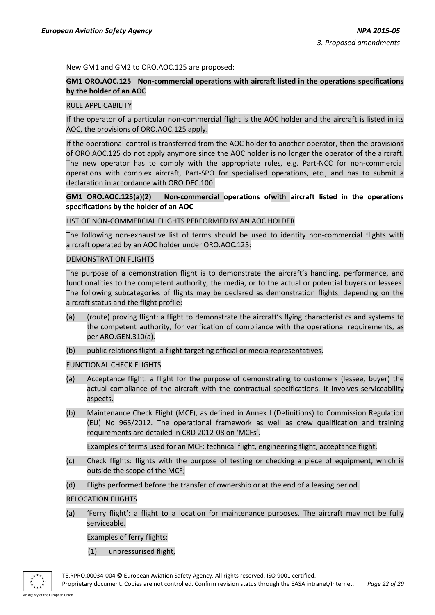New GM1 and GM2 to ORO.AOC.125 are proposed:

# **GM1 ORO.AOC.125 Non-commercial operations with aircraft listed in the operations specifications by the holder of an AOC**

### RULE APPLICABILITY

If the operator of a particular non-commercial flight is the AOC holder and the aircraft is listed in its AOC, the provisions of ORO.AOC.125 apply.

If the operational control is transferred from the AOC holder to another operator, then the provisions of ORO.AOC.125 do not apply anymore since the AOC holder is no longer the operator of the aircraft. The new operator has to comply with the appropriate rules, e.g. Part-NCC for non-commercial operations with complex aircraft, Part-SPO for specialised operations, etc., and has to submit a declaration in accordance with ORO.DEC.100.

# **GM1 ORO.AOC.125(a)(2) Non-commercial operations ofwith aircraft listed in the operations specifications by the holder of an AOC**

### LIST OF NON-COMMERCIAL FLIGHTS PERFORMED BY AN AOC HOLDER

The following non-exhaustive list of terms should be used to identify non-commercial flights with aircraft operated by an AOC holder under ORO.AOC.125:

### DEMONSTRATION FLIGHTS

The purpose of a demonstration flight is to demonstrate the aircraft's handling, performance, and functionalities to the competent authority, the media, or to the actual or potential buyers or lessees. The following subcategories of flights may be declared as demonstration flights, depending on the aircraft status and the flight profile:

- (a) (route) proving flight: a flight to demonstrate the aircraft's flying characteristics and systems to the competent authority, for verification of compliance with the operational requirements, as per ARO.GEN.310(a).
- (b) public relations flight: a flight targeting official or media representatives.

FUNCTIONAL CHECK FLIGHTS

- (a) Acceptance flight: a flight for the purpose of demonstrating to customers (lessee, buyer) the actual compliance of the aircraft with the contractual specifications. It involves serviceability aspects.
- (b) Maintenance Check Flight (MCF), as defined in Annex I (Definitions) to Commission Regulation (EU) No 965/2012. The operational framework as well as crew qualification and training requirements are detailed in CRD 2012-08 on 'MCFs'.

Examples of terms used for an MCF: technical flight, engineering flight, acceptance flight.

- (c) Check flights: flights with the purpose of testing or checking a piece of equipment, which is outside the scope of the MCF;
- (d) Flighs performed before the transfer of ownership or at the end of a leasing period.

### RELOCATION FLIGHTS

(a) 'Ferry flight': a flight to a location for maintenance purposes. The aircraft may not be fully serviceable.

Examples of ferry flights:

(1) unpressurised flight,



TE.RPRO.00034-004 © European Aviation Safety Agency. All rights reserved. ISO 9001 certified.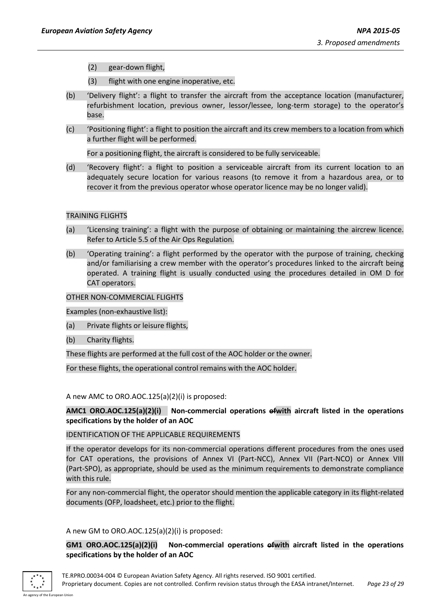- (2) gear-down flight,
- (3) flight with one engine inoperative, etc.
- (b) 'Delivery flight': a flight to transfer the aircraft from the acceptance location (manufacturer, refurbishment location, previous owner, lessor/lessee, long-term storage) to the operator's base.
- (c) 'Positioning flight': a flight to position the aircraft and its crew members to a location from which a further flight will be performed.

For a positioning flight, the aircraft is considered to be fully serviceable.

(d) 'Recovery flight': a flight to position a serviceable aircraft from its current location to an adequately secure location for various reasons (to remove it from a hazardous area, or to recover it from the previous operator whose operator licence may be no longer valid).

### TRAINING FLIGHTS

- (a) 'Licensing training': a flight with the purpose of obtaining or maintaining the aircrew licence. Refer to Article 5.5 of the Air Ops Regulation.
- (b) 'Operating training': a flight performed by the operator with the purpose of training, checking and/or familiarising a crew member with the operator's procedures linked to the aircraft being operated. A training flight is usually conducted using the procedures detailed in OM D for CAT operators.

### OTHER NON-COMMERCIAL FLIGHTS

Examples (non-exhaustive list):

- (a) Private flights or leisure flights,
- (b) Charity flights.

These flights are performed at the full cost of the AOC holder or the owner.

For these flights, the operational control remains with the AOC holder.

### A new AMC to ORO.AOC.125(a)(2)(i) is proposed:

**AMC1 ORO.AOC.125(a)(2)(i) Non-commercial operations ofwith aircraft listed in the operations specifications by the holder of an AOC**

### IDENTIFICATION OF THE APPLICABLE REQUIREMENTS

If the operator develops for its non-commercial operations different procedures from the ones used for CAT operations, the provisions of Annex VI (Part-NCC), Annex VII (Part-NCO) or Annex VIII (Part-SPO), as appropriate, should be used as the minimum requirements to demonstrate compliance with this rule.

For any non-commercial flight, the operator should mention the applicable category in its flight-related documents (OFP, loadsheet, etc.) prior to the flight.

### A new GM to ORO.AOC.125(a)(2)(i) is proposed:

# **GM1 ORO.AOC.125(a)(2)(i) Non-commercial operations ofwith aircraft listed in the operations specifications by the holder of an AOC**

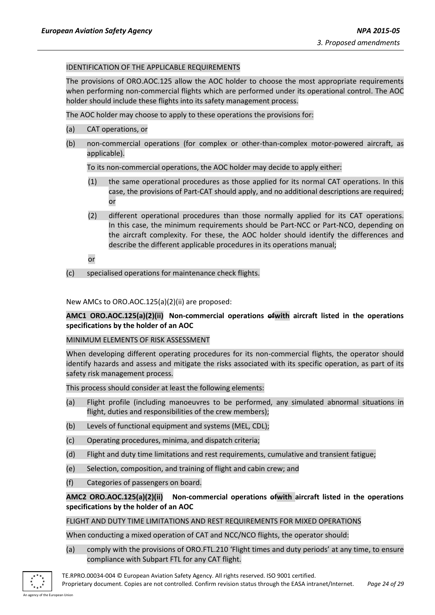### IDENTIFICATION OF THE APPLICABLE REQUIREMENTS

The provisions of ORO.AOC.125 allow the AOC holder to choose the most appropriate requirements when performing non-commercial flights which are performed under its operational control. The AOC holder should include these flights into its safety management process.

The AOC holder may choose to apply to these operations the provisions for:

- (a) CAT operations, or
- (b) non-commercial operations (for complex or other-than-complex motor-powered aircraft, as applicable).

To its non-commercial operations, the AOC holder may decide to apply either:

- (1) the same operational procedures as those applied for its normal CAT operations. In this case, the provisions of Part-CAT should apply, and no additional descriptions are required; or
- (2) different operational procedures than those normally applied for its CAT operations. In this case, the minimum requirements should be Part-NCC or Part-NCO, depending on the aircraft complexity. For these, the AOC holder should identify the differences and describe the different applicable procedures in its operations manual;

or

(c) specialised operations for maintenance check flights.

New AMCs to ORO.AOC.125(a)(2)(ii) are proposed:

**AMC1 ORO.AOC.125(a)(2)(ii) Non-commercial operations ofwith aircraft listed in the operations specifications by the holder of an AOC**

MINIMUM ELEMENTS OF RISK ASSESSMENT

When developing different operating procedures for its non-commercial flights, the operator should identify hazards and assess and mitigate the risks associated with its specific operation, as part of its safety risk management process.

This process should consider at least the following elements:

- (a) Flight profile (including manoeuvres to be performed, any simulated abnormal situations in flight, duties and responsibilities of the crew members);
- (b) Levels of functional equipment and systems (MEL, CDL);
- (c) Operating procedures, minima, and dispatch criteria;
- (d) Flight and duty time limitations and rest requirements, cumulative and transient fatigue;
- (e) Selection, composition, and training of flight and cabin crew; and
- (f) Categories of passengers on board.

# **AMC2 ORO.AOC.125(a)(2)(ii) Non-commercial operations ofwith aircraft listed in the operations specifications by the holder of an AOC**

FLIGHT AND DUTY TIME LIMITATIONS AND REST REQUIREMENTS FOR MIXED OPERATIONS

When conducting a mixed operation of CAT and NCC/NCO flights, the operator should:

(a) comply with the provisions of ORO.FTL.210 'Flight times and duty periods' at any time, to ensure compliance with Subpart FTL for any CAT flight.

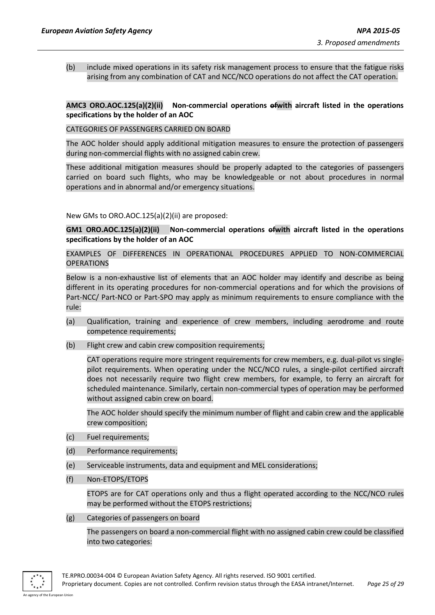(b) include mixed operations in its safety risk management process to ensure that the fatigue risks arising from any combination of CAT and NCC/NCO operations do not affect the CAT operation.

# **AMC3 ORO.AOC.125(a)(2)(ii) Non-commercial operations ofwith aircraft listed in the operations specifications by the holder of an AOC**

CATEGORIES OF PASSENGERS CARRIED ON BOARD

The AOC holder should apply additional mitigation measures to ensure the protection of passengers during non-commercial flights with no assigned cabin crew.

These additional mitigation measures should be properly adapted to the categories of passengers carried on board such flights, who may be knowledgeable or not about procedures in normal operations and in abnormal and/or emergency situations.

New GMs to ORO.AOC.125(a)(2)(ii) are proposed:

**GM1 ORO.AOC.125(a)(2)(ii) Non-commercial operations ofwith aircraft listed in the operations specifications by the holder of an AOC**

EXAMPLES OF DIFFERENCES IN OPERATIONAL PROCEDURES APPLIED TO NON-COMMERCIAL **OPERATIONS** 

Below is a non-exhaustive list of elements that an AOC holder may identify and describe as being different in its operating procedures for non-commercial operations and for which the provisions of Part-NCC/ Part-NCO or Part-SPO may apply as minimum requirements to ensure compliance with the rule:

- (a) Qualification, training and experience of crew members, including aerodrome and route competence requirements;
- (b) Flight crew and cabin crew composition requirements;

CAT operations require more stringent requirements for crew members, e.g. dual-pilot vs singlepilot requirements. When operating under the NCC/NCO rules, a single-pilot certified aircraft does not necessarily require two flight crew members, for example, to ferry an aircraft for scheduled maintenance. Similarly, certain non-commercial types of operation may be performed without assigned cabin crew on board.

The AOC holder should specify the minimum number of flight and cabin crew and the applicable crew composition;

- (c) Fuel requirements;
- (d) Performance requirements;
- (e) Serviceable instruments, data and equipment and MEL considerations;
- (f) Non-ETOPS/ETOPS

ETOPS are for CAT operations only and thus a flight operated according to the NCC/NCO rules may be performed without the ETOPS restrictions;

(g) Categories of passengers on board

The passengers on board a non-commercial flight with no assigned cabin crew could be classified into two categories:

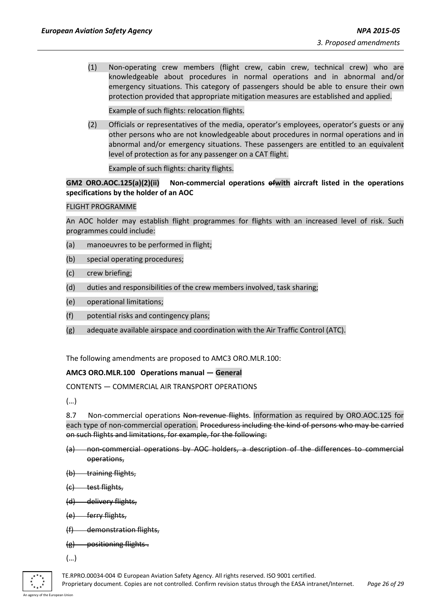(1) Non-operating crew members (flight crew, cabin crew, technical crew) who are knowledgeable about procedures in normal operations and in abnormal and/or emergency situations. This category of passengers should be able to ensure their own protection provided that appropriate mitigation measures are established and applied.

Example of such flights: relocation flights.

(2) Officials or representatives of the media, operator's employees, operator's guests or any other persons who are not knowledgeable about procedures in normal operations and in abnormal and/or emergency situations. These passengers are entitled to an equivalent level of protection as for any passenger on a CAT flight.

Example of such flights: charity flights.

# **GM2 ORO.AOC.125(a)(2)(ii) Non-commercial operations ofwith aircraft listed in the operations specifications by the holder of an AOC**

FLIGHT PROGRAMME

An AOC holder may establish flight programmes for flights with an increased level of risk. Such programmes could include:

- (a) manoeuvres to be performed in flight;
- (b) special operating procedures;
- (c) crew briefing;
- (d) duties and responsibilities of the crew members involved, task sharing;
- (e) operational limitations;
- (f) potential risks and contingency plans;
- (g) adequate available airspace and coordination with the Air Traffic Control (ATC).

The following amendments are proposed to AMC3 ORO.MLR.100:

### **AMC3 ORO.MLR.100 Operations manual — General**

CONTENTS — COMMERCIAL AIR TRANSPORT OPERATIONS

(…)

8.7 Non-commercial operations Non-revenue flights. Information as required by ORO.AOC.125 for each type of non-commercial operation. Proceduress including the kind of persons who may be carried on such flights and limitations, for example, for the following:

- (a) non-commercial operations by AOC holders, a description of the differences to commercial operations,
- $(b)$  training flights,
- (c) test flights.
- (d) delivery flights.
- (e) ferry flights,
- (f) demonstration flights,
- (g) positioning flights .
- (…)



TE.RPRO.00034-004 © European Aviation Safety Agency. All rights reserved. ISO 9001 certified.

Proprietary document. Copies are not controlled. Confirm revision status through the EASA intranet/Internet. *Page 26 of 29* An agency of the European Union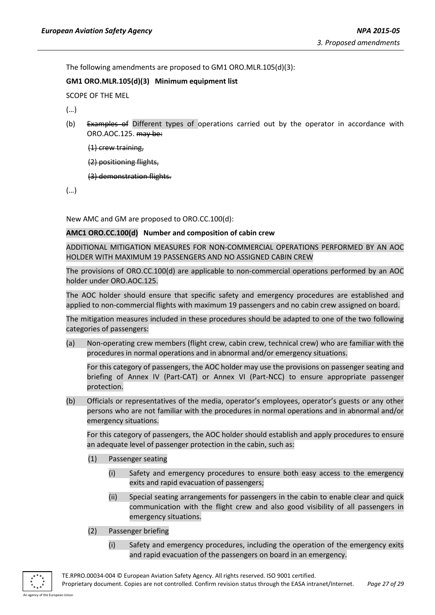The following amendments are proposed to GM1 ORO.MLR.105(d)(3):

### **GM1 ORO.MLR.105(d)(3) Minimum equipment list**

SCOPE OF THE MEL

(…)

(b) Examples of Different types of operations carried out by the operator in accordance with ORO.AOC.125. may be:

(1) crew training,

(2) positioning flights,

(3) demonstration flights.

(…)

New AMC and GM are proposed to ORO.CC.100(d):

### **AMC1 ORO.CC.100(d) Number and composition of cabin crew**

ADDITIONAL MITIGATION MEASURES FOR NON-COMMERCIAL OPERATIONS PERFORMED BY AN AOC HOLDER WITH MAXIMUM 19 PASSENGERS AND NO ASSIGNED CABIN CREW

The provisions of ORO.CC.100(d) are applicable to non-commercial operations performed by an AOC holder under ORO.AOC.125.

The AOC holder should ensure that specific safety and emergency procedures are established and applied to non-commercial flights with maximum 19 passengers and no cabin crew assigned on board.

The mitigation measures included in these procedures should be adapted to one of the two following categories of passengers:

(a) Non-operating crew members (flight crew, cabin crew, technical crew) who are familiar with the procedures in normal operations and in abnormal and/or emergency situations.

For this category of passengers, the AOC holder may use the provisions on passenger seating and briefing of Annex IV (Part-CAT) or Annex VI (Part-NCC) to ensure appropriate passenger protection.

(b) Officials or representatives of the media, operator's employees, operator's guests or any other persons who are not familiar with the procedures in normal operations and in abnormal and/or emergency situations.

For this category of passengers, the AOC holder should establish and apply procedures to ensure an adequate level of passenger protection in the cabin, such as:

- (1) Passenger seating
	- (i) Safety and emergency procedures to ensure both easy access to the emergency exits and rapid evacuation of passengers;
	- (ii) Special seating arrangements for passengers in the cabin to enable clear and quick communication with the flight crew and also good visibility of all passengers in emergency situations.
- (2) Passenger briefing
	- (i) Safety and emergency procedures, including the operation of the emergency exits and rapid evacuation of the passengers on board in an emergency.



TE.RPRO.00034-004 © European Aviation Safety Agency. All rights reserved. ISO 9001 certified.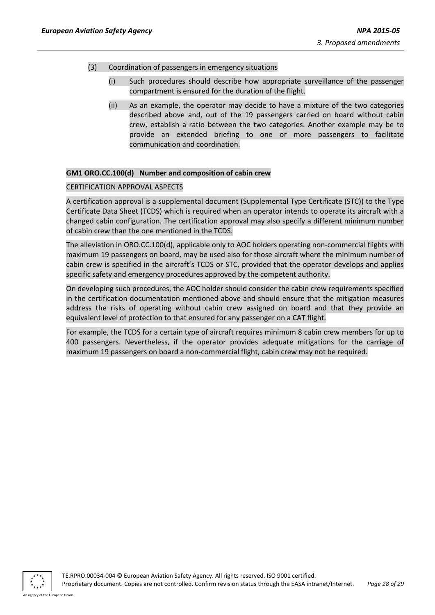# (3) Coordination of passengers in emergency situations

- (i) Such procedures should describe how appropriate surveillance of the passenger compartment is ensured for the duration of the flight.
- (ii) As an example, the operator may decide to have a mixture of the two categories described above and, out of the 19 passengers carried on board without cabin crew, establish a ratio between the two categories. Another example may be to provide an extended briefing to one or more passengers to facilitate communication and coordination.

# **GM1 ORO.CC.100(d) Number and composition of cabin crew**

# CERTIFICATION APPROVAL ASPECTS

A certification approval is a supplemental document (Supplemental Type Certificate (STC)) to the Type Certificate Data Sheet (TCDS) which is required when an operator intends to operate its aircraft with a changed cabin configuration. The certification approval may also specify a different minimum number of cabin crew than the one mentioned in the TCDS.

The alleviation in ORO.CC.100(d), applicable only to AOC holders operating non-commercial flights with maximum 19 passengers on board, may be used also for those aircraft where the minimum number of cabin crew is specified in the aircraft's TCDS or STC, provided that the operator develops and applies specific safety and emergency procedures approved by the competent authority.

On developing such procedures, the AOC holder should consider the cabin crew requirements specified in the certification documentation mentioned above and should ensure that the mitigation measures address the risks of operating without cabin crew assigned on board and that they provide an equivalent level of protection to that ensured for any passenger on a CAT flight.

For example, the TCDS for a certain type of aircraft requires minimum 8 cabin crew members for up to 400 passengers. Nevertheless, if the operator provides adequate mitigations for the carriage of maximum 19 passengers on board a non-commercial flight, cabin crew may not be required.